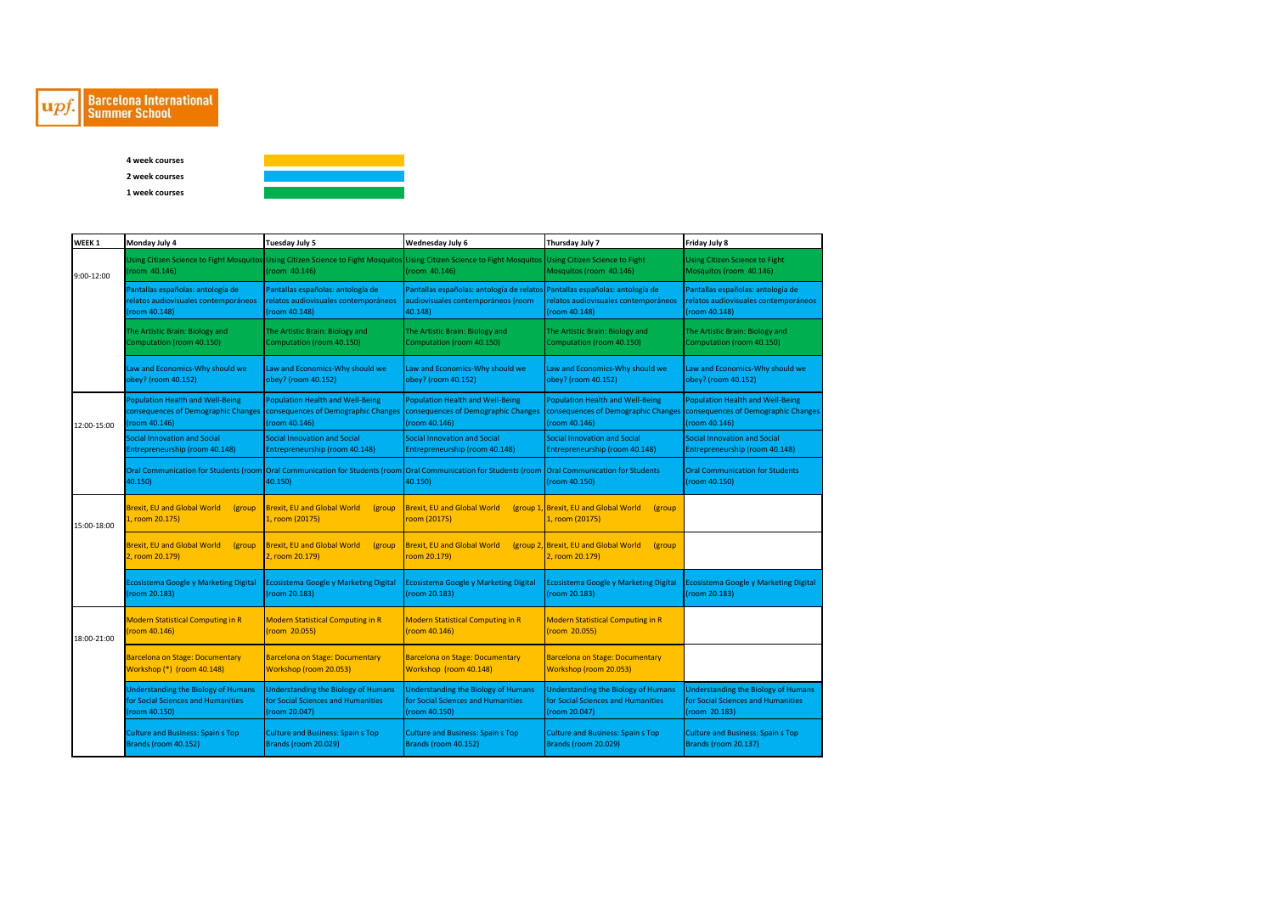

## **Barcelona International**<br>Summer School

**4 week courses 2 week courses 1 week courses**



| WEEK <sub>1</sub> | Monday July 4                                                                                     | Tuesday July 5                                                                                    | Wednesday July 6                                                                                                                                                           | Thursday July 7                                                                                   | Friday July 8                                                                                                                       |
|-------------------|---------------------------------------------------------------------------------------------------|---------------------------------------------------------------------------------------------------|----------------------------------------------------------------------------------------------------------------------------------------------------------------------------|---------------------------------------------------------------------------------------------------|-------------------------------------------------------------------------------------------------------------------------------------|
| 9:00-12:00        | room 40.146)                                                                                      | (room 40.146)                                                                                     | Using Citizen Science to Fight Mosquitos Using Citizen Science to Fight Mosquitos Using Citizen Science to Fight Mosquitos Using Citizen Science to Fight<br>(room 40.146) | Mosquitos (room 40.146)                                                                           | <b>Using Citizen Science to Fight</b><br>Mosquitos (room 40.146)                                                                    |
|                   | Pantallas españolas: antología de<br>relatos audiovisuales contemporáneos<br>(room 40.148)        | Pantallas españolas: antología de<br>relatos audiovisuales contemporáneos<br>(room 40.148)        | Pantallas españolas: antología de relatos Pantallas españolas: antología de<br>audiovisuales contemporáneos (room<br>40.148)                                               | relatos audiovisuales contemporáneos<br>(room 40.148)                                             | Pantallas españolas: antología de<br>relatos audiovisuales contemporáneos<br>(room 40.148)                                          |
|                   | The Artistic Brain: Biology and<br>Computation (room 40.150)                                      | The Artistic Brain: Biology and<br>Computation (room 40.150)                                      | The Artistic Brain: Biology and<br>Computation (room 40.150)                                                                                                               | The Artistic Brain: Biology and<br>Computation (room 40.150)                                      | The Artistic Brain: Biology and<br>Computation (room 40.150)                                                                        |
|                   | Law and Economics-Why should we<br>obey? (room 40.152)                                            | Law and Economics-Why should we<br>obey? (room 40.152)                                            | Law and Economics-Why should we<br>obey? (room 40.152)                                                                                                                     | Law and Economics-Why should we<br>obey? (room 40.152)                                            | Law and Economics-Why should we<br>obey? (room 40.152)                                                                              |
| 12:00-15:00       | <b>Population Health and Well-Being</b><br>consequences of Demographic Changes<br>(room 40.146)   | <b>Population Health and Well-Being</b><br>consequences of Demographic Changes<br>(room 40.146)   | <b>Population Health and Well-Being</b><br>consequences of Demographic Changes<br>(room 40.146)                                                                            | <b>Population Health and Well-Being</b><br>(room 40.146)                                          | <b>Population Health and Well-Being</b><br>consequences of Demographic Changes consequences of Demographic Changes<br>(room 40.146) |
|                   | Social Innovation and Social<br>Entrepreneurship (room 40.148)                                    | Social Innovation and Social<br>Entrepreneurship (room 40.148)                                    | <b>Social Innovation and Social</b><br>Entrepreneurship (room 40.148)                                                                                                      | Social Innovation and Social<br>Entrepreneurship (room 40.148)                                    | <b>Social Innovation and Social</b><br>Entrepreneurship (room 40.148)                                                               |
|                   | 40.150)                                                                                           | 40.150)                                                                                           | Oral Communication for Students (room Oral Communication for Students (room Oral Communication for Students (room Oral Communication for Students<br>40.150)               | (room 40.150)                                                                                     | <b>Oral Communication for Students</b><br>(room 40.150)                                                                             |
| 15:00-18:00       | <b>Brexit. EU and Global World</b><br>(group<br>1, room 20.175)                                   | <b>Brexit, EU and Global World</b><br>(group<br>1, room (20175)                                   | <b>Brexit, EU and Global World</b><br>room (20175)                                                                                                                         | (group 1, Brexit, EU and Global World<br><i>(group</i><br>1, room (20175)                         |                                                                                                                                     |
|                   | <b>Brexit, EU and Global World</b><br>(group)<br>2, room 20.179)                                  | <b>Brexit, EU and Global World</b><br>(group)<br>2, room 20.179)                                  | <b>Brexit, EU and Global World</b><br>oom 20.179)                                                                                                                          | (group 2, Brexit, EU and Global World<br>(group<br>2, room 20.179)                                |                                                                                                                                     |
|                   | <b>Ecosistema Google y Marketing Digital</b><br>(room 20.183)                                     | Ecosistema Google y Marketing Digital<br>(room 20.183)                                            | Ecosistema Google y Marketing Digital<br>(room 20.183)                                                                                                                     | <b>Ecosistema Google y Marketing Digital</b><br>(room 20.183)                                     | <b>Ecosistema Google y Marketing Digital</b><br>(room 20.183)                                                                       |
| 18:00-21:00       | <b>Modern Statistical Computing in R</b><br>room 40.146)                                          | <b>Modern Statistical Computing in R</b><br>(room 20.055)                                         | <b>Modern Statistical Computing in R</b><br>(room 40.146)                                                                                                                  | <b>Modern Statistical Computing in R</b><br>(room 20.055)                                         |                                                                                                                                     |
|                   | <b>Barcelona on Stage: Documentary</b><br>Workshop (*) (room 40.148)                              | <b>Barcelona on Stage: Documentary</b><br>Workshop (room 20.053)                                  | <b>Barcelona on Stage: Documentary</b><br>Workshop (room 40.148)                                                                                                           | <b>Barcelona on Stage: Documentary</b><br>Workshop (room 20.053)                                  |                                                                                                                                     |
|                   | <b>Understanding the Biology of Humans</b><br>for Social Sciences and Humanities<br>(room 40.150) | <b>Understanding the Biology of Humans</b><br>for Social Sciences and Humanities<br>(room 20.047) | <b>Understanding the Biology of Humans</b><br>for Social Sciences and Humanities<br>(room 40.150)                                                                          | <b>Understanding the Biology of Humans</b><br>for Social Sciences and Humanities<br>(room 20.047) | <b>Understanding the Biology of Humans</b><br>for Social Sciences and Humanities<br>(room 20.183)                                   |
|                   | <b>Culture and Business: Spain s Top</b><br>Brands (room 40.152)                                  | <b>Culture and Business: Spain s Top</b><br>Brands (room 20.029)                                  | <b>Culture and Business: Spain s Top</b><br>Brands (room 40.152)                                                                                                           | <b>Culture and Business: Spain s Top</b><br><b>Brands (room 20.029)</b>                           | <b>Culture and Business: Spain s Top</b><br><b>Brands (room 20.137)</b>                                                             |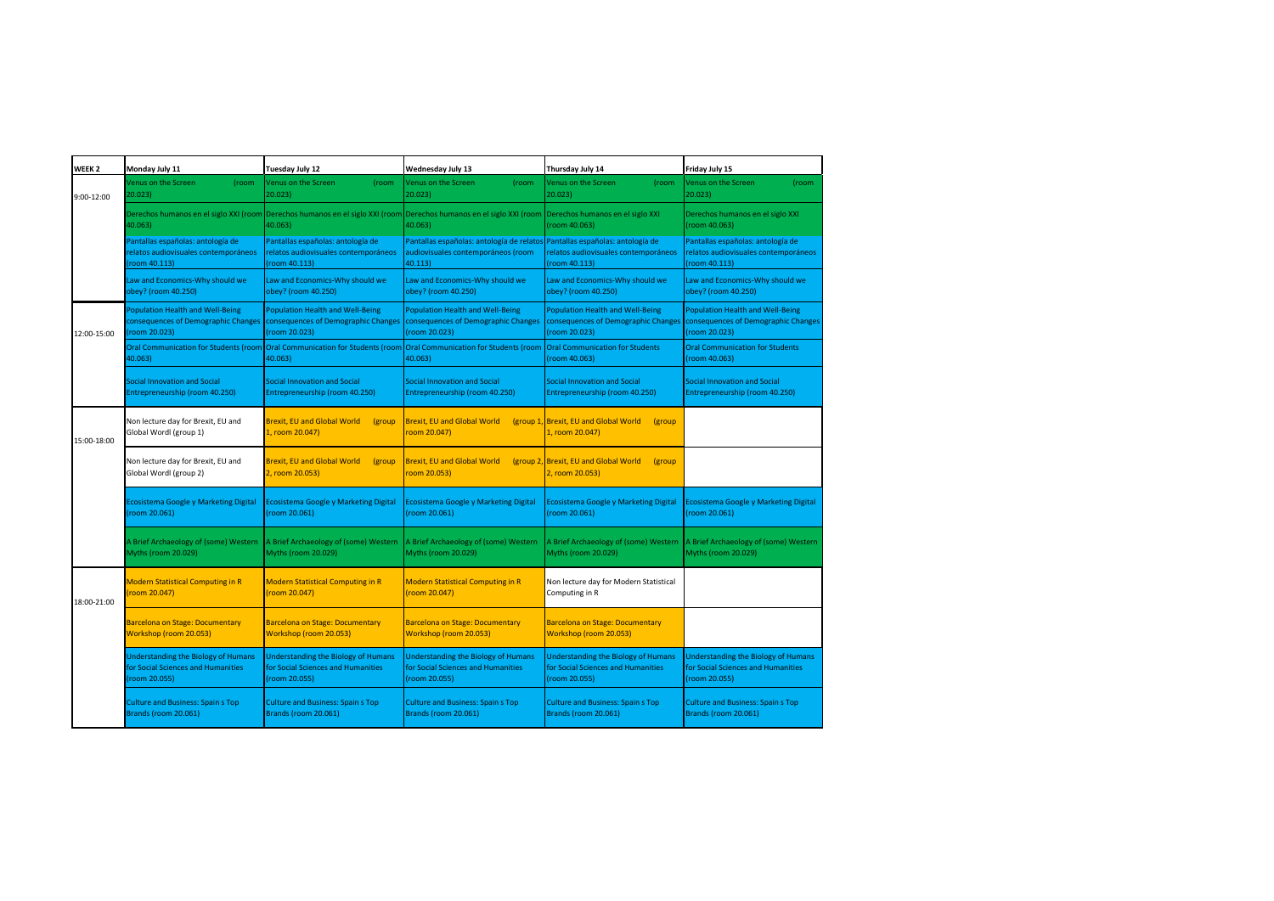| WEEK <sub>2</sub> | Monday July 11                                                                                    | Tuesday July 12                                                                                   | Wednesday July 13                                                                                                               | Thursday July 14                                                                                 | Friday July 15                                                                                                               |
|-------------------|---------------------------------------------------------------------------------------------------|---------------------------------------------------------------------------------------------------|---------------------------------------------------------------------------------------------------------------------------------|--------------------------------------------------------------------------------------------------|------------------------------------------------------------------------------------------------------------------------------|
| 9:00-12:00        | Venus on the Screen<br>(room<br>20.023)                                                           | Venus on the Screen<br>(room<br>20.023)                                                           | Venus on the Screen<br>(room<br>20.023)                                                                                         | Venus on the Screen<br>(room<br>20.023)                                                          | Venus on the Screen<br>(room<br>20.023)                                                                                      |
|                   | 40.063)                                                                                           | 40.063)                                                                                           | Derechos humanos en el siglo XXI (room Derechos humanos en el siglo XXI (room Derechos humanos en el siglo XXI (room<br>40.063) | Derechos humanos en el siglo XXI<br>(room 40.063)                                                | Derechos humanos en el siglo XXI<br>(room 40.063)                                                                            |
|                   | Pantallas españolas: antología de<br>relatos audiovisuales contemporáneos<br>room 40.113)         | Pantallas españolas: antología de<br>relatos audiovisuales contemporáneos<br>(room 40.113)        | Pantallas españolas: antología de relatos Pantallas españolas: antología de<br>audiovisuales contemporáneos (room<br>40.113)    | relatos audiovisuales contemporáneos<br>(room 40.113)                                            | Pantallas españolas: antología de<br>relatos audiovisuales contemporáneos<br>(room 40.113)                                   |
|                   | Law and Economics-Why should we<br>obey? (room 40.250)                                            | Law and Economics-Why should we<br>obey? (room 40.250)                                            | Law and Economics-Why should we<br>obey? (room 40.250)                                                                          | Law and Economics-Why should we<br>obey? (room 40.250)                                           | Law and Economics-Why should we<br>obey? (room 40.250)                                                                       |
| 12:00-15:00       | <b>Population Health and Well-Being</b><br>consequences of Demographic Changes<br>(room 20.023)   | <b>Population Health and Well-Being</b><br>consequences of Demographic Changes<br>(room 20.023)   | <b>Population Health and Well-Being</b><br>consequences of Demographic Changes<br>(room 20.023)                                 | <b>Population Health and Well-Being</b><br>(room 20.023)                                         | Population Health and Well-Being<br>consequences of Demographic Changes consequences of Demographic Changes<br>(room 20.023) |
|                   | 40.063)                                                                                           | 40.063)                                                                                           | Oral Communication for Students (room Oral Communication for Students (room Oral Communication for Students (room<br>40.063)    | <b>Oral Communication for Students</b><br>room 40.063)                                           | <b>Oral Communication for Students</b><br>(room 40.063)                                                                      |
|                   | <b>Social Innovation and Social</b><br>Entrepreneurship (room 40.250)                             | <b>Social Innovation and Social</b><br>Entrepreneurship (room 40.250)                             | Social Innovation and Social<br>Entrepreneurship (room 40.250)                                                                  | <b>Social Innovation and Social</b><br>Entrepreneurship (room 40.250)                            | <b>Social Innovation and Social</b><br>Entrepreneurship (room 40.250)                                                        |
| 15:00-18:00       | Non lecture day for Brexit, EU and<br>Global Wordl (group 1)                                      | <b>Brexit, EU and Global World</b><br>(group)<br>1, room 20.047)                                  | <b>Brexit, EU and Global World</b><br>oom 20.047)                                                                               | (group 1, Brexit, EU and Global World<br>(group<br>1, room 20.047)                               |                                                                                                                              |
|                   | Non lecture day for Brexit, EU and<br>Global Wordl (group 2)                                      | <b>Brexit, EU and Global World</b><br>(group<br>2, room 20.053)                                   | Brexit, EU and Global World<br>$\frac{1}{2}$ oom 20.053)                                                                        | (group 2, Brexit, EU and Global World<br>(group<br>2, room 20.053)                               |                                                                                                                              |
|                   | Ecosistema Google y Marketing Digital<br>room 20.061)                                             | <b>Ecosistema Google y Marketing Digital</b><br>(room 20.061)                                     | Ecosistema Google y Marketing Digital<br>room 20.061)                                                                           | Ecosistema Google y Marketing Digital<br>room 20.061)                                            | <b>Ecosistema Google y Marketing Digital</b><br>(room 20.061)                                                                |
|                   | A Brief Archaeology of (some) Western<br>Myths (room 20.029)                                      | A Brief Archaeology of (some) Western<br>Myths (room 20.029)                                      | A Brief Archaeology of (some) Western<br><b>Myths (room 20.029)</b>                                                             | A Brief Archaeology of (some) Western<br>Myths (room 20.029)                                     | A Brief Archaeology of (some) Western<br>Myths (room 20.029)                                                                 |
| 18:00-21:00       | <b>Modern Statistical Computing in R</b><br>(room 20.047)                                         | <b>Modern Statistical Computing in R</b><br>(room 20.047)                                         | <b>Modern Statistical Computing in R</b><br>(room 20.047)                                                                       | Non lecture day for Modern Statistical<br>Computing in R                                         |                                                                                                                              |
|                   | <b>Barcelona on Stage: Documentary</b><br>Workshop (room 20.053)                                  | <b>Barcelona on Stage: Documentary</b><br>Workshop (room 20.053)                                  | <b>Barcelona on Stage: Documentary</b><br>Workshop (room 20.053)                                                                | <b>Barcelona on Stage: Documentary</b><br>Workshop (room 20.053)                                 |                                                                                                                              |
|                   | <b>Understanding the Biology of Humans</b><br>for Social Sciences and Humanities<br>(room 20.055) | <b>Understanding the Biology of Humans</b><br>for Social Sciences and Humanities<br>(room 20.055) | <b>Understanding the Biology of Humans</b><br>for Social Sciences and Humanities<br>(room 20.055)                               | <b>Understanding the Biology of Humans</b><br>for Social Sciences and Humanities<br>room 20.055) | <b>Understanding the Biology of Humans</b><br>for Social Sciences and Humanities<br>(room 20.055)                            |
|                   | <b>Culture and Business: Spain s Top</b><br>Brands (room 20.061)                                  | <b>Culture and Business: Spain s Top</b><br>Brands (room 20.061)                                  | <b>Culture and Business: Spain s Top</b><br>Brands (room 20.061)                                                                | <b>Culture and Business: Spain s Top</b><br>Brands (room 20.061)                                 | <b>Culture and Business: Spain s Top</b><br>Brands (room 20.061)                                                             |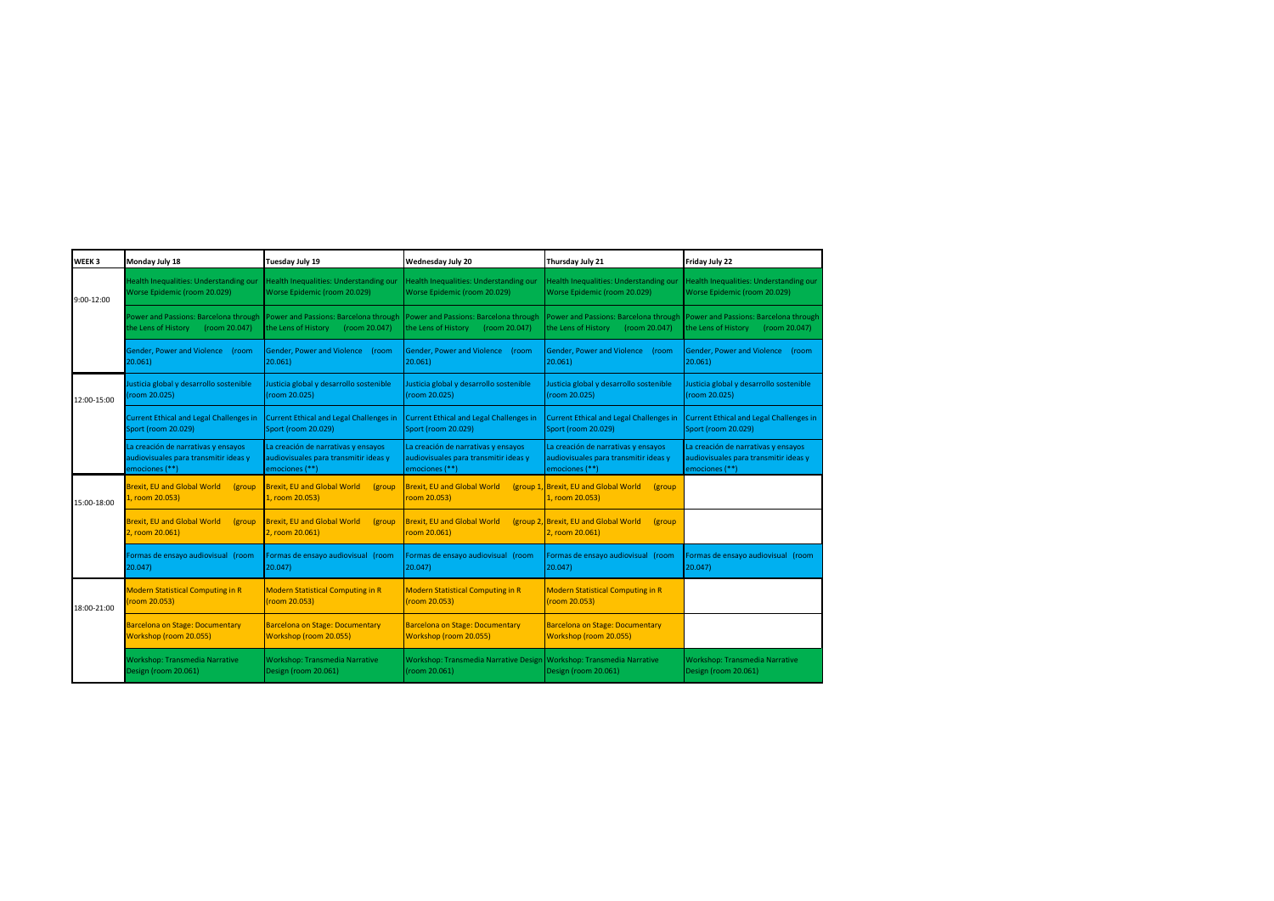| WEEK <sub>3</sub> | Monday July 18                                                                                 | Tuesday July 19                                                                                | Wednesday July 20                                                                              | Thursday July 21                                                                               | Friday July 22                                                                                 |
|-------------------|------------------------------------------------------------------------------------------------|------------------------------------------------------------------------------------------------|------------------------------------------------------------------------------------------------|------------------------------------------------------------------------------------------------|------------------------------------------------------------------------------------------------|
| 9:00-12:00        | Health Inequalities: Understanding our<br>Worse Epidemic (room 20.029)                         | Health Inequalities: Understanding our<br>Worse Epidemic (room 20.029)                         | <b>Health Inequalities: Understanding our</b><br>Worse Epidemic (room 20.029)                  | Health Inequalities: Understanding our<br>Worse Epidemic (room 20.029)                         | Health Inequalities: Understanding our<br>Worse Epidemic (room 20.029)                         |
|                   | Power and Passions: Barcelona through<br>the Lens of History<br>(room 20.047)                  | Power and Passions: Barcelona through<br>the Lens of History<br>(room 20.047)                  | Power and Passions: Barcelona through<br>the Lens of History<br>(room 20.047)                  | Power and Passions: Barcelona through<br>the Lens of History<br>(room 20.047)                  | Power and Passions: Barcelona through<br>the Lens of History<br>(room 20.047)                  |
|                   | Gender, Power and Violence<br>(room<br>20.061)                                                 | Gender, Power and Violence<br>(room<br>20.061)                                                 | Gender, Power and Violence (room<br>20.061)                                                    | Gender, Power and Violence (room<br>20.061                                                     | Gender, Power and Violence<br>(room<br>20.061                                                  |
| 12:00-15:00       | Justicia global y desarrollo sostenible<br>room 20.025)                                        | Justicia global y desarrollo sostenible<br>(room 20.025)                                       | Justicia global y desarrollo sostenible<br>(room 20.025)                                       | Justicia global y desarrollo sostenible<br>(room 20.025)                                       | Justicia global y desarrollo sostenible<br>(room 20.025)                                       |
|                   | <b>Current Ethical and Legal Challenges in</b><br>Sport (room 20.029)                          | <b>Current Ethical and Legal Challenges in</b><br>Sport (room 20.029)                          | <b>Current Ethical and Legal Challenges in</b><br><b>Sport (room 20.029)</b>                   | <b>Current Ethical and Legal Challenges in</b><br>Sport (room 20.029)                          | <b>Current Ethical and Legal Challenges in</b><br>Sport (room 20.029)                          |
|                   | La creación de narrativas y ensayos<br>audiovisuales para transmitir ideas y<br>emociones (**) | La creación de narrativas y ensayos<br>audiovisuales para transmitir ideas y<br>emociones (**) | La creación de narrativas y ensayos<br>audiovisuales para transmitir ideas y<br>emociones (**) | La creación de narrativas y ensayos<br>audiovisuales para transmitir ideas y<br>emociones (**) | La creación de narrativas y ensayos<br>audiovisuales para transmitir ideas y<br>emociones (**) |
| 15:00-18:00       | <b>Brexit, EU and Global World</b><br>(group<br>1, room 20.053)                                | <b>Brexit, EU and Global World</b><br>(group)<br>1, room 20.053)                               | <b>Brexit, EU and Global World</b><br>room 20.053)                                             | (group 1, Brexit, EU and Global World<br><i>(group</i><br>1, room 20.053)                      |                                                                                                |
|                   | <b>Brexit, EU and Global World</b><br>(group<br>2, room 20.061)                                | <b>Brexit, EU and Global World</b><br>(group<br>2, room 20.061)                                | <b>Brexit, EU and Global World</b><br>room 20.061)                                             | (group 2, Brexit, EU and Global World<br>(group<br>2, room 20.061)                             |                                                                                                |
|                   | Formas de ensayo audiovisual (room<br>20.047)                                                  | Formas de ensayo audiovisual (room<br>20.047                                                   | Formas de ensayo audiovisual (room<br>20.047)                                                  | Formas de ensayo audiovisual (room<br>20.047)                                                  | Formas de ensayo audiovisual (room<br>20.047)                                                  |
| 18:00-21:00       | <b>Modern Statistical Computing in R</b><br>room 20.053)                                       | <b>Modern Statistical Computing in R</b><br>(room 20.053)                                      | <b>Modern Statistical Computing in R</b><br>(room 20.053)                                      | <b>Modern Statistical Computing in R</b><br>(room 20.053)                                      |                                                                                                |
|                   | <b>Barcelona on Stage: Documentary</b><br>Workshop (room 20.055)                               | <b>Barcelona on Stage: Documentary</b><br>Workshop (room 20.055)                               | <b>Barcelona on Stage: Documentary</b><br>Workshop (room 20.055)                               | <b>Barcelona on Stage: Documentary</b><br>Workshop (room 20.055)                               |                                                                                                |
|                   | <b>Workshop: Transmedia Narrative</b><br>Design (room 20.061)                                  | <b>Workshop: Transmedia Narrative</b><br>Design (room 20.061)                                  | Workshop: Transmedia Narrative Design Workshop: Transmedia Narrative<br>(room 20.061)          | Design (room 20.061)                                                                           | Workshop: Transmedia Narrative<br>Design (room 20.061)                                         |